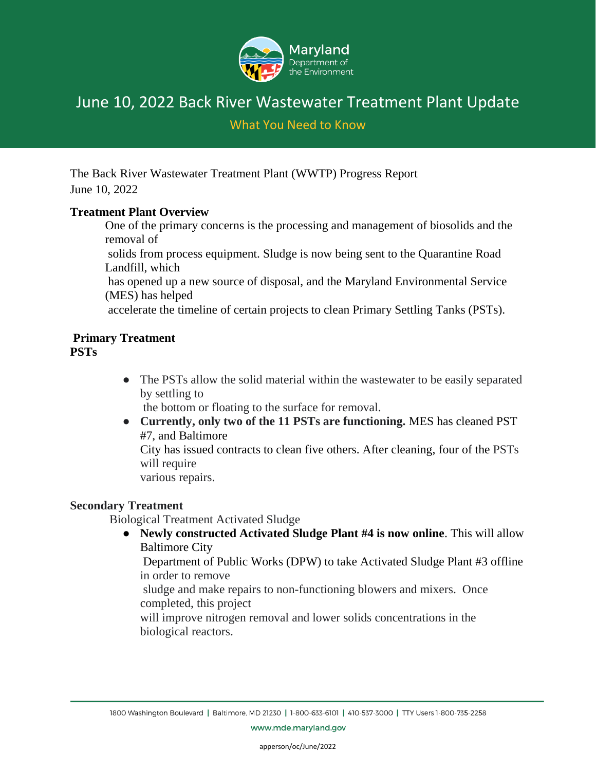

What You Need to Know

The Back River Wastewater Treatment Plant (WWTP) Progress Report June 10, 2022

#### **Treatment Plant Overview**

One of the primary concerns is the processing and management of biosolids and the removal of

solids from process equipment. Sludge is now being sent to the Quarantine Road Landfill, which

has opened up a new source of disposal, and the Maryland Environmental Service (MES) has helped

accelerate the timeline of certain projects to clean Primary Settling Tanks (PSTs).

#### **Primary Treatment PSTs**

• The PSTs allow the solid material within the wastewater to be easily separated by settling to

the bottom or floating to the surface for removal.

● **Currently, only two of the 11 PSTs are functioning.** MES has cleaned PST #7, and Baltimore

City has issued contracts to clean five others. After cleaning, four of the PSTs will require

various repairs.

#### **Secondary Treatment**

Biological Treatment Activated Sludge

● **Newly constructed Activated Sludge Plant #4 is now online**. This will allow Baltimore City

Department of Public Works (DPW) to take Activated Sludge Plant #3 offline in order to remove

sludge and make repairs to non-functioning blowers and mixers. Once completed, this project

will improve nitrogen removal and lower solids concentrations in the biological reactors.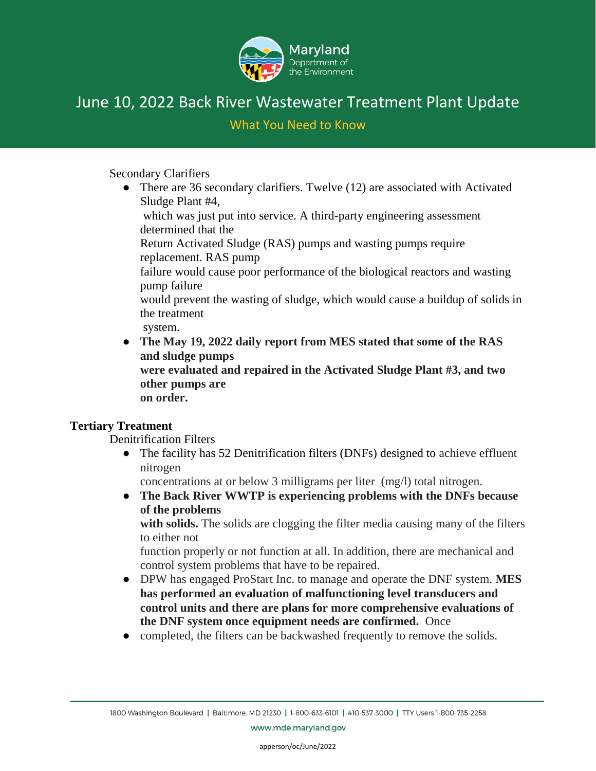

What You Need to Know

Secondary Clarifiers

• There are 36 secondary clarifiers. Twelve (12) are associated with Activated Sludge Plant #4,

which was just put into service. A third-party engineering assessment determined that the

Return Activated Sludge (RAS) pumps and wasting pumps require replacement. RAS pump

failure would cause poor performance of the biological reactors and wasting pump failure

would prevent the wasting of sludge, which would cause a buildup of solids in the treatment

system.

● **The May 19, 2022 daily report from MES stated that some of the RAS and sludge pumps were evaluated and repaired in the Activated Sludge Plant #3, and two other pumps are** 

**on order.**

#### **Tertiary Treatment**

Denitrification Filters

• The facility has 52 Denitrification filters (DNFs) designed to achieve effluent nitrogen

concentrations at or below 3 milligrams per liter (mg/l) total nitrogen.

● **The Back River WWTP is experiencing problems with the DNFs because of the problems** 

**with solids.** The solids are clogging the filter media causing many of the filters to either not

function properly or not function at all. In addition, there are mechanical and control system problems that have to be repaired.

- DPW has engaged ProStart Inc. to manage and operate the DNF system. **MES has performed an evaluation of malfunctioning level transducers and control units and there are plans for more comprehensive evaluations of the DNF system once equipment needs are confirmed.** Once
- completed, the filters can be backwashed frequently to remove the solids.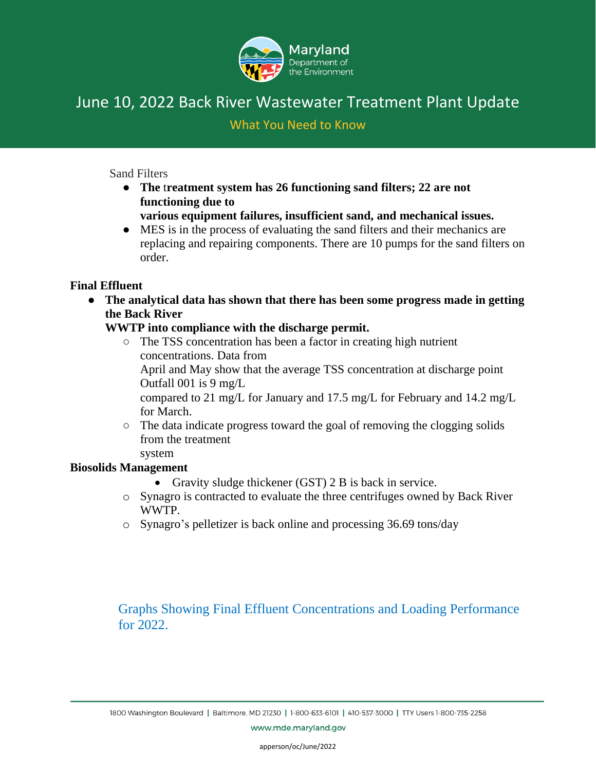

#### What You Need to Know

Sand Filters

- **The** t**reatment system has 26 functioning sand filters; 22 are not functioning due to** 
	- **various equipment failures, insufficient sand, and mechanical issues.**
- MES is in the process of evaluating the sand filters and their mechanics are replacing and repairing components. There are 10 pumps for the sand filters on order.

#### **Final Effluent**

● **The analytical data has shown that there has been some progress made in getting the Back River** 

#### **WWTP into compliance with the discharge permit.**

- The TSS concentration has been a factor in creating high nutrient concentrations. Data from April and May show that the average TSS concentration at discharge point Outfall 001 is 9 mg/L compared to 21 mg/L for January and 17.5 mg/L for February and 14.2 mg/L for March.
- The data indicate progress toward the goal of removing the clogging solids from the treatment system

#### **Biosolids Management**

- Gravity sludge thickener (GST) 2 B is back in service.
- o Synagro is contracted to evaluate the three centrifuges owned by Back River WWTP.
- o Synagro's pelletizer is back online and processing 36.69 tons/day

Graphs Showing Final Effluent Concentrations and Loading Performance for 2022.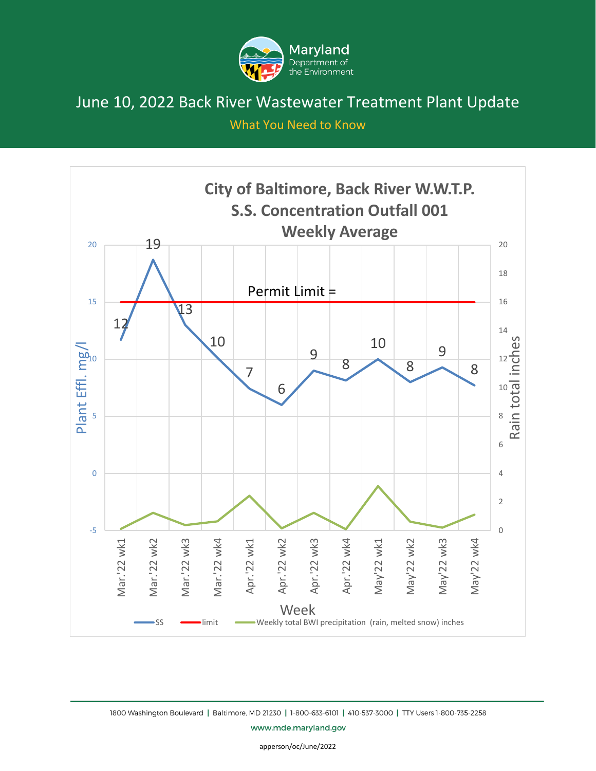

What You Need to Know



1800 Washington Boulevard | Baltimore, MD 21230 | 1-800-633-6101 | 410-537-3000 | TTY Users 1-800-735-2258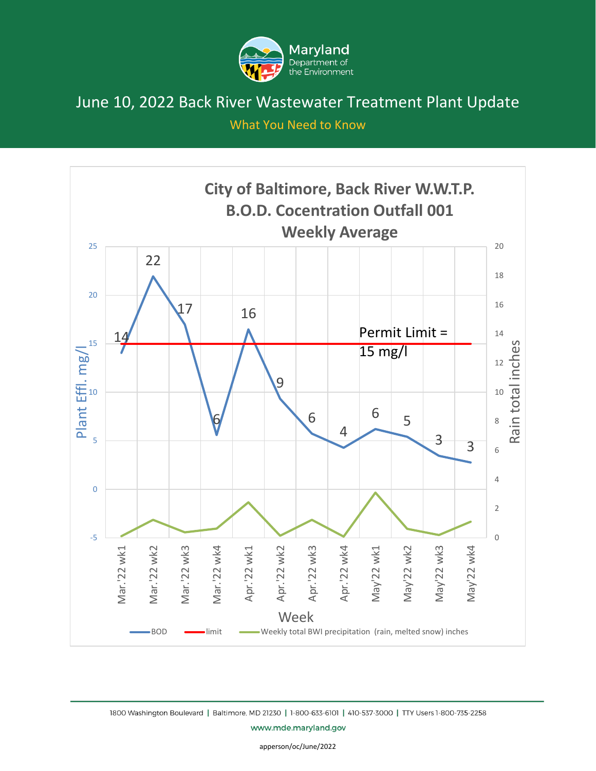

What You Need to Know



www.mde.maryland.gov

apperson/oc/June/2022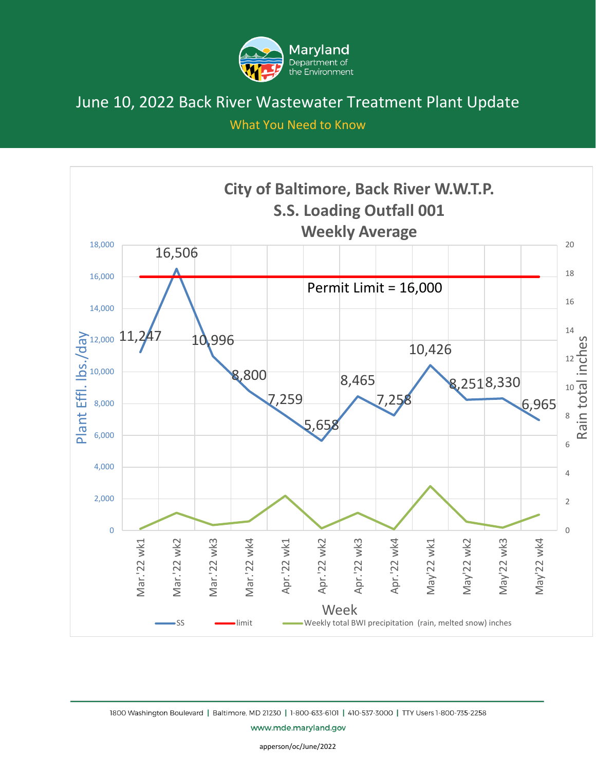

What You Need to Know

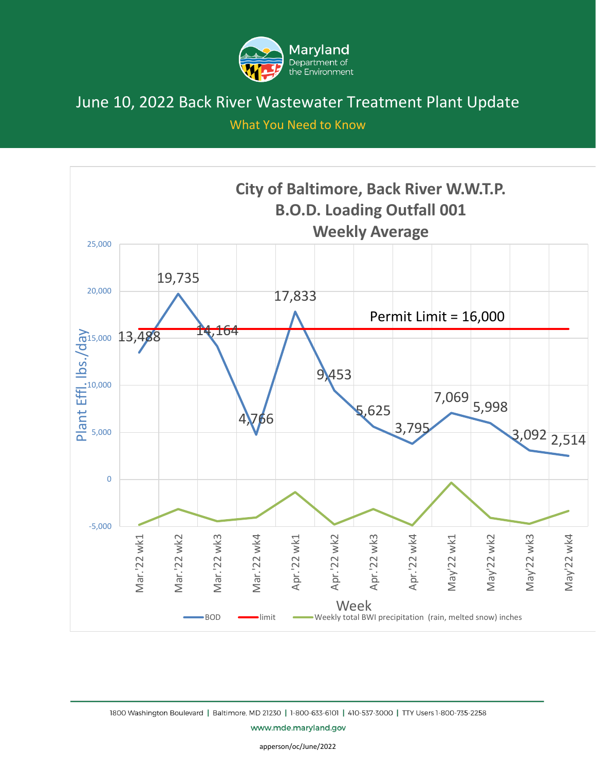

What You Need to Know



1800 Washington Boulevard | Baltimore, MD 21230 | 1-800-633-6101 | 410-537-3000 | TTY Users 1-800-735-2258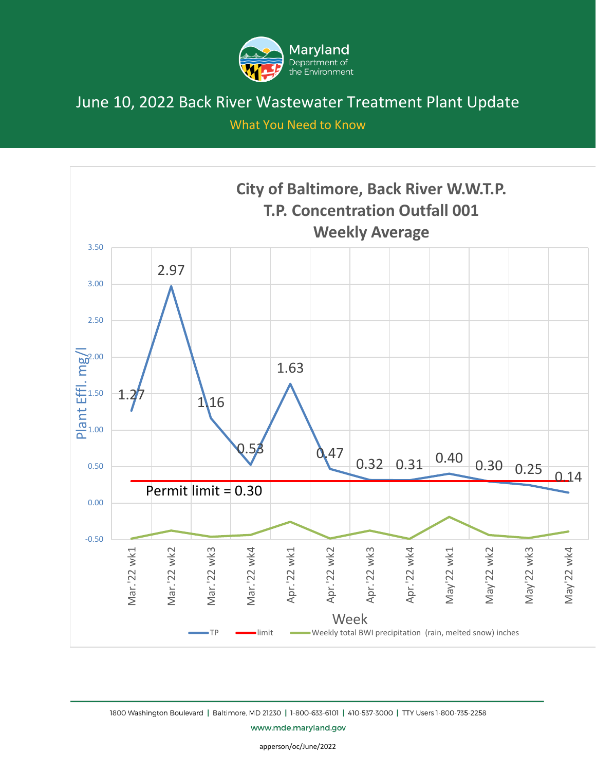

What You Need to Know



1800 Washington Boulevard | Baltimore, MD 21230 | 1-800-633-6101 | 410-537-3000 | TTY Users 1-800-735-2258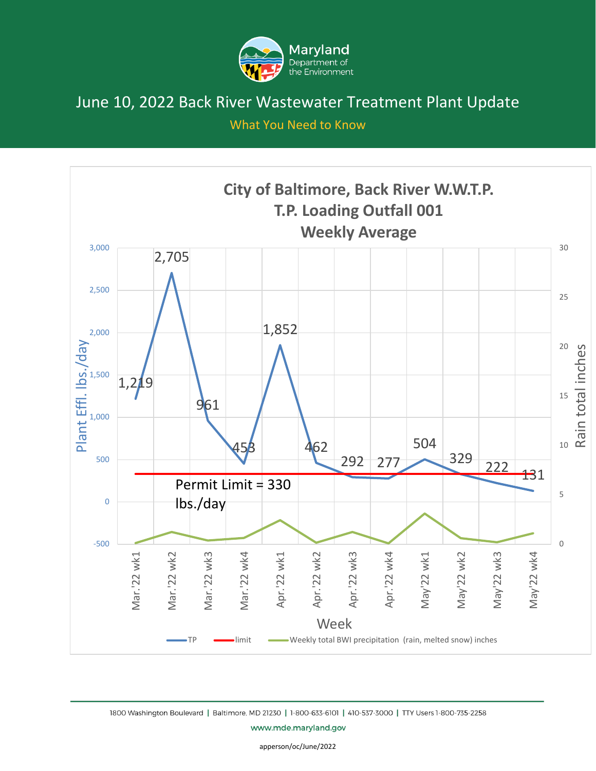

What You Need to Know



1800 Washington Boulevard | Baltimore, MD 21230 | 1-800-633-6101 | 410-537-3000 | TTY Users 1-800-735-2258

www.mde.maryland.gov

apperson/oc/June/2022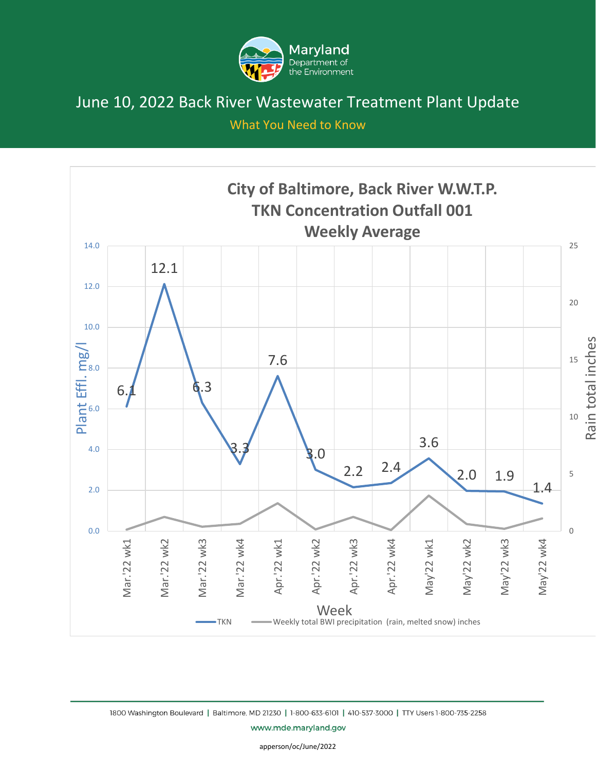

What You Need to Know



1800 Washington Boulevard | Baltimore, MD 21230 | 1-800-633-6101 | 410-537-3000 | TTY Users 1-800-735-2258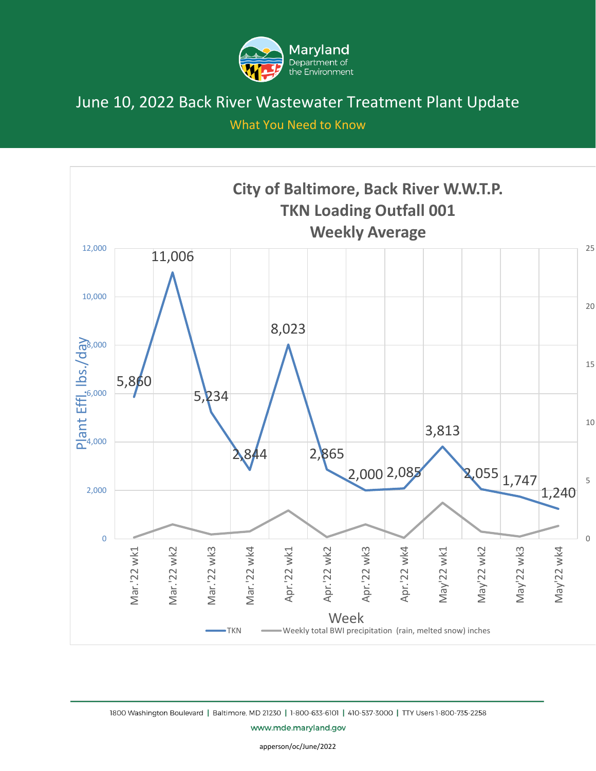

What You Need to Know



1800 Washington Boulevard | Baltimore, MD 21230 | 1-800-633-6101 | 410-537-3000 | TTY Users 1-800-735-2258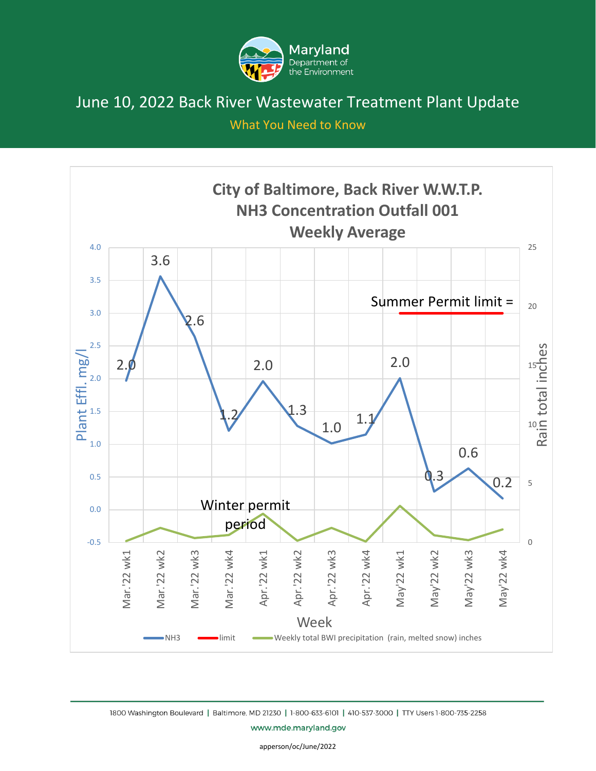

What You Need to Know



1800 Washington Boulevard | Baltimore, MD 21230 | 1-800-633-6101 | 410-537-3000 | TTY Users 1-800-735-2258

www.mde.maryland.gov

apperson/oc/June/2022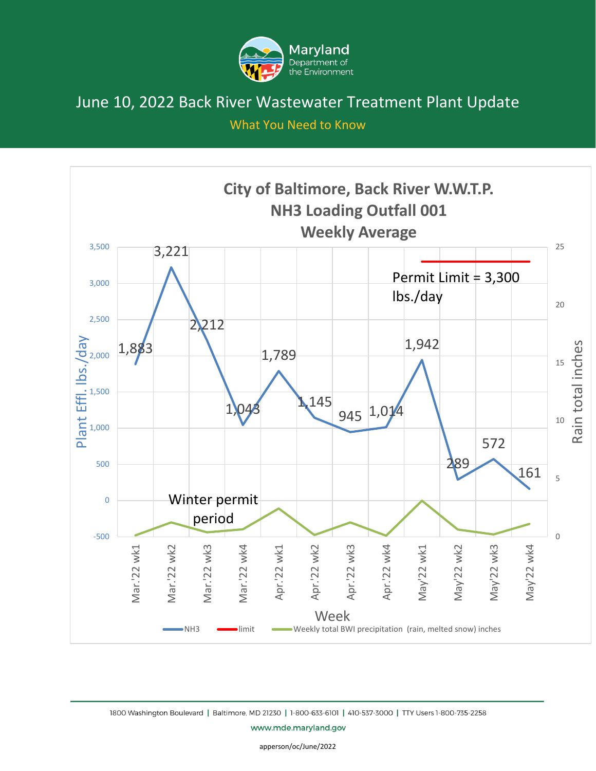

What You Need to Know



1800 Washington Boulevard | Baltimore, MD 21230 | 1-800-633-6101 | 410-537-3000 | TTY Users 1-800-735-2258

www.mde.maryland.gov

apperson/oc/June/2022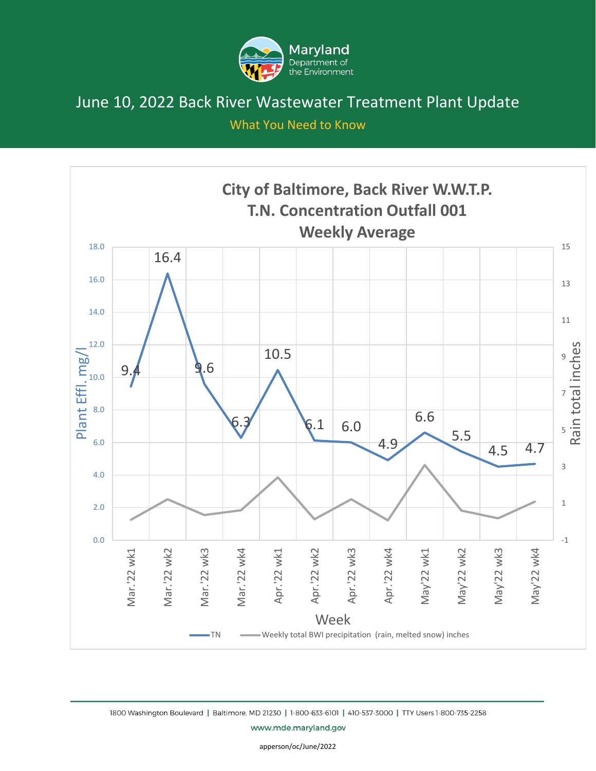

What You Need to Know



1800 Washington Boulevard | Baltimore, MD 21230 | 1-800-633-6101 | 410-537-3000 | TTY Users 1-800-735-2258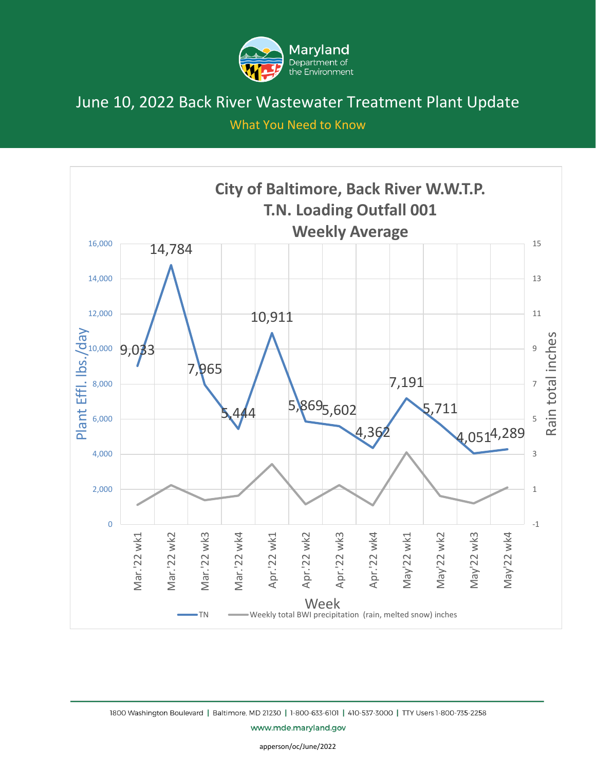

What You Need to Know



1800 Washington Boulevard | Baltimore, MD 21230 | 1-800-633-6101 | 410-537-3000 | TTY Users 1-800-735-2258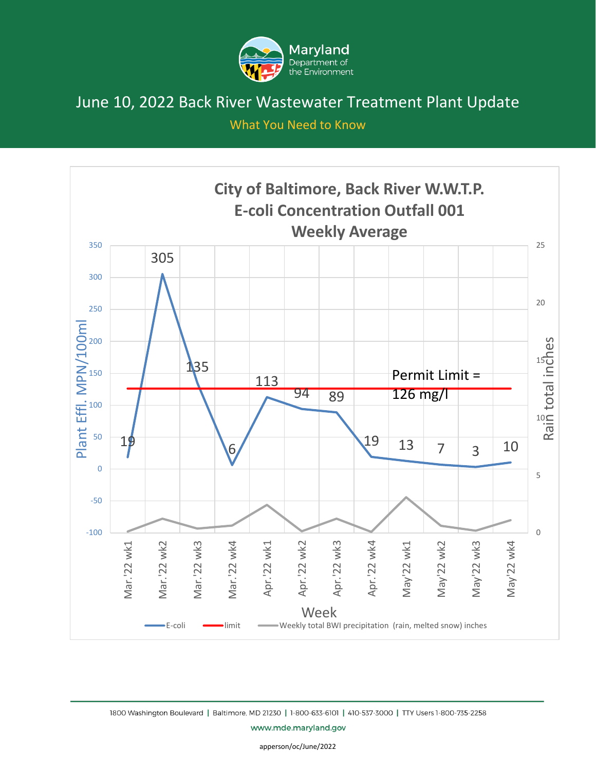

What You Need to Know



1800 Washington Boulevard | Baltimore, MD 21230 | 1-800-633-6101 | 410-537-3000 | TTY Users 1-800-735-2258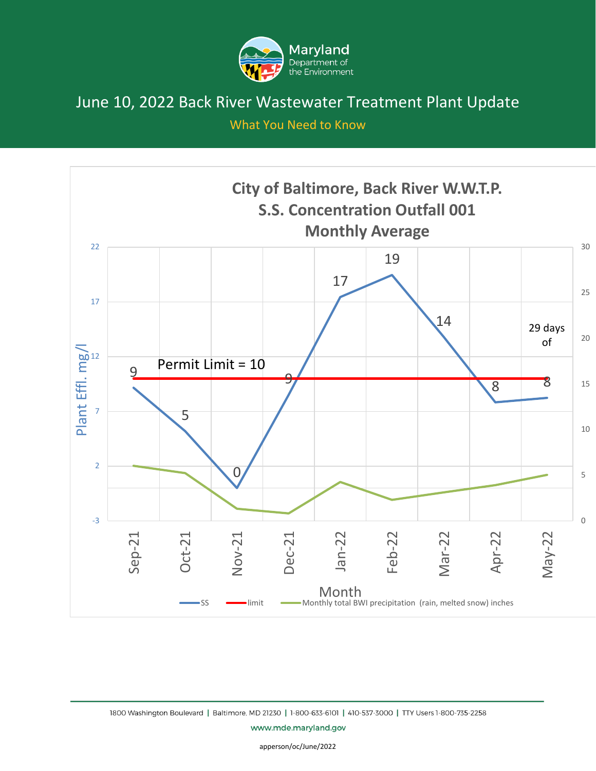

What You Need to Know



1800 Washington Boulevard | Baltimore, MD 21230 | 1-800-633-6101 | 410-537-3000 | TTY Users 1-800-735-2258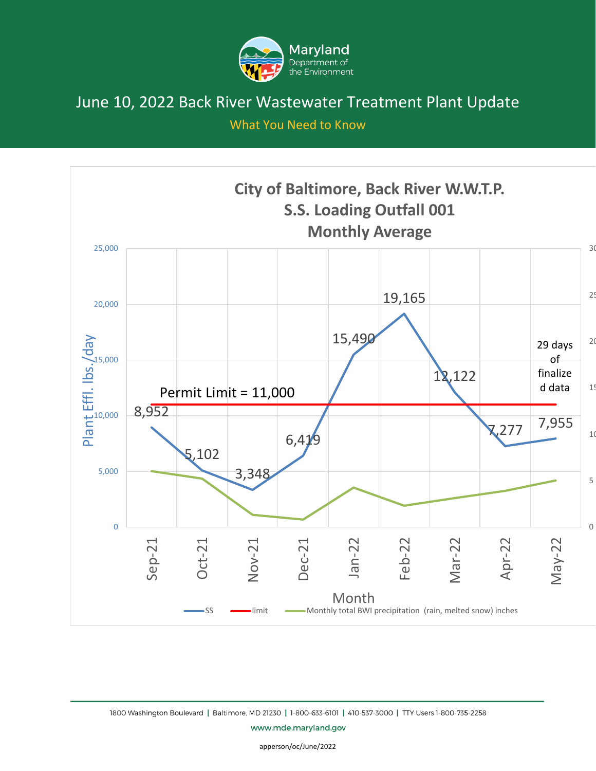

What You Need to Know



1800 Washington Boulevard | Baltimore, MD 21230 | 1-800-633-6101 | 410-537-3000 | TTY Users 1-800-735-2258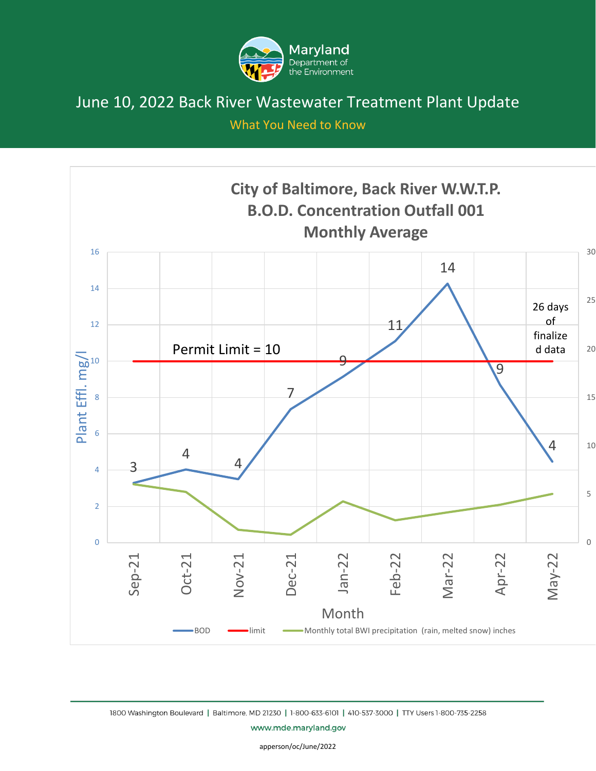

What You Need to Know



1800 Washington Boulevard | Baltimore, MD 21230 | 1-800-633-6101 | 410-537-3000 | TTY Users 1-800-735-2258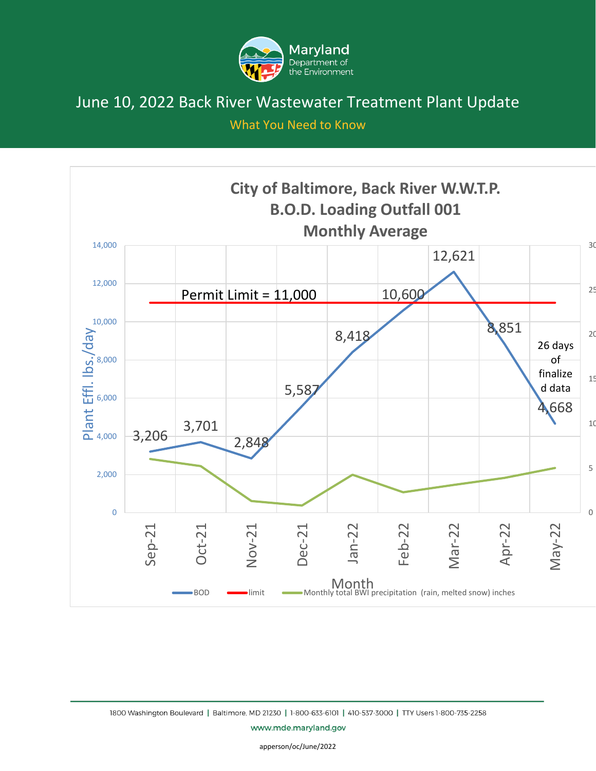

What You Need to Know

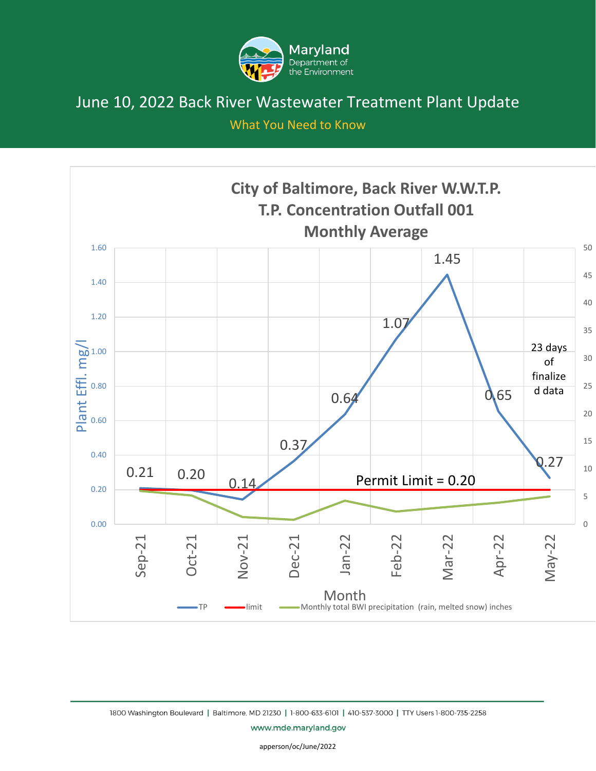

What You Need to Know



1800 Washington Boulevard | Baltimore, MD 21230 | 1-800-633-6101 | 410-537-3000 | TTY Users 1-800-735-2258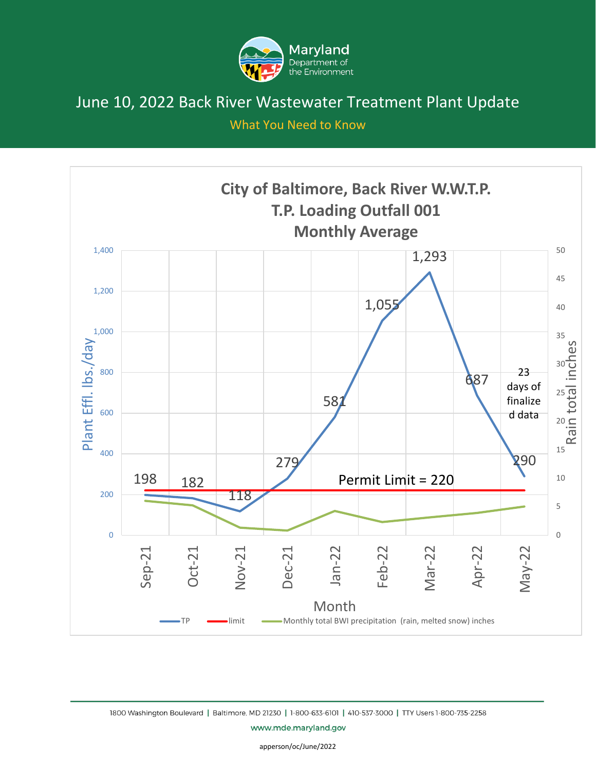

What You Need to Know



1800 Washington Boulevard | Baltimore, MD 21230 | 1-800-633-6101 | 410-537-3000 | TTY Users 1-800-735-2258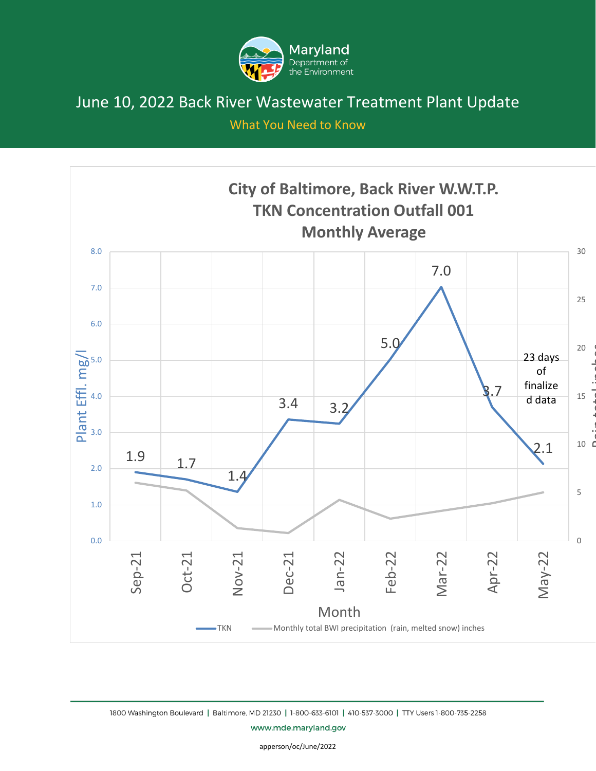

What You Need to Know



1800 Washington Boulevard | Baltimore, MD 21230 | 1-800-633-6101 | 410-537-3000 | TTY Users 1-800-735-2258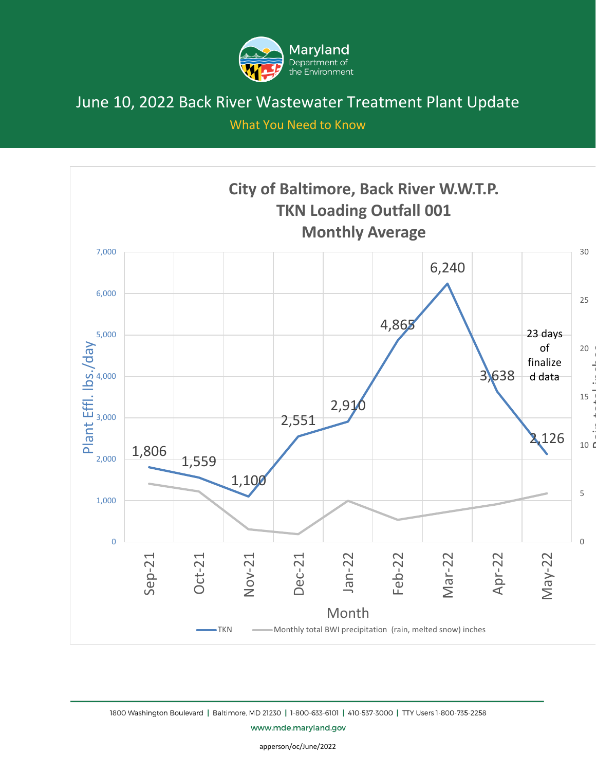

What You Need to Know



1800 Washington Boulevard | Baltimore, MD 21230 | 1-800-633-6101 | 410-537-3000 | TTY Users 1-800-735-2258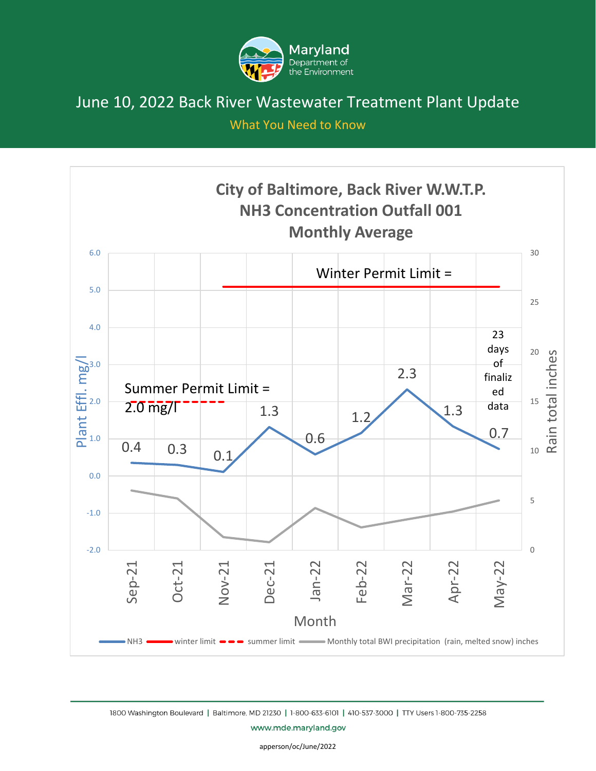

What You Need to Know



1800 Washington Boulevard | Baltimore, MD 21230 | 1-800-633-6101 | 410-537-3000 | TTY Users 1-800-735-2258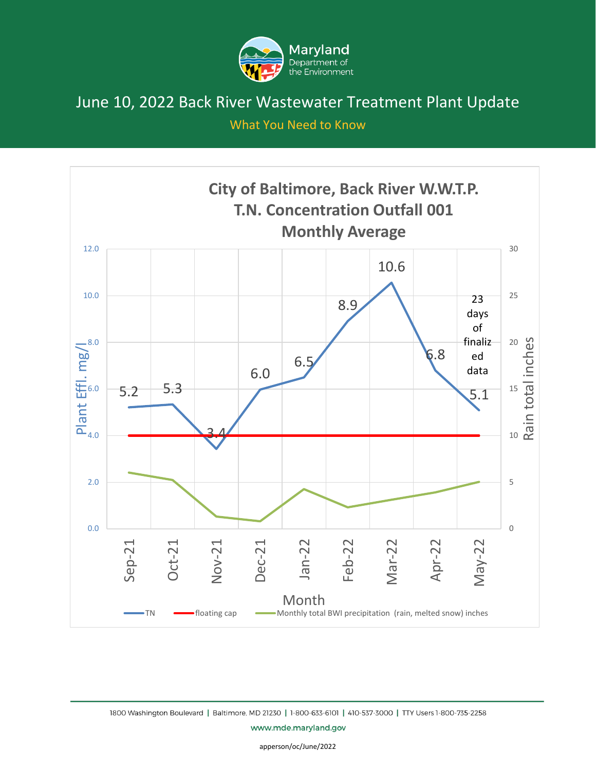

What You Need to Know



1800 Washington Boulevard | Baltimore, MD 21230 | 1-800-633-6101 | 410-537-3000 | TTY Users 1-800-735-2258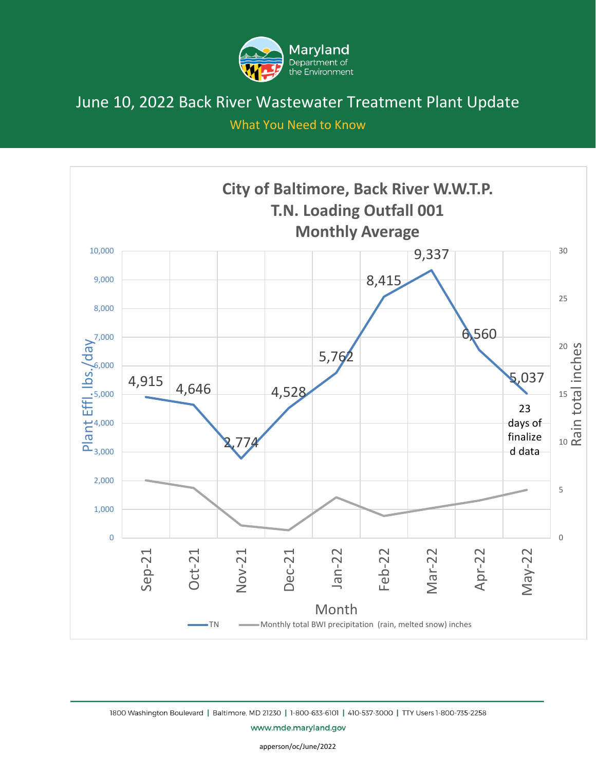

What You Need to Know



1800 Washington Boulevard | Baltimore, MD 21230 | 1-800-633-6101 | 410-537-3000 | TTY Users 1-800-735-2258